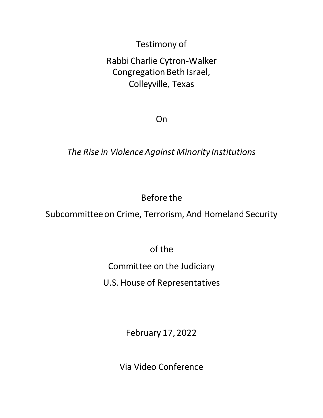Testimony of

# Rabbi Charlie Cytron-Walker Congregation Beth Israel, Colleyville, Texas

On

## *The Rise in Violence Against Minority Institutions*

# Before the

Subcommittee on Crime, Terrorism, And Homeland Security

of the

Committee on the Judiciary

U.S. House of Representatives

February 17, 2022

Via Video Conference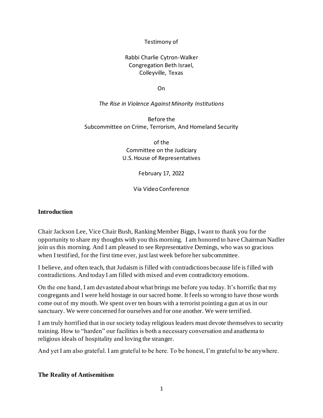#### Testimony of

#### Rabbi Charlie Cytron-Walker Congregation Beth Israel, Colleyville, Texas

On

#### *The Rise in Violence Against Minority Institutions*

Before the Subcommittee on Crime, Terrorism, And Homeland Security

> of the Committee on the Judiciary U.S. House of Representatives

> > February 17, 2022

Via Video Conference

#### **Introduction**

Chair Jackson Lee, Vice Chair Bush, Ranking Member Biggs, I want to thank you for the opportunity to share my thoughts with you this morning. I am honored to have Chairman Nadler join us this morning. And I am pleased to see Representative Demings, who was so gracious when I testified, for the first time ever, just last week before her subcommittee.

I believe, and often teach, that Judaism is filled with contradictions because life is filled with contradictions. And today I am filled with mixed and even contradictory emotions.

On the one hand, I am devastated about what brings me before you today. It's horrific that my congregants and I were held hostage in our sacred home. It feels so wrong to have those words come out of my mouth. We spent over ten hours with a terrorist pointing a gun at us in our sanctuary. We were concerned for ourselves and for one another. We were terrified.

I am truly horrified that in our society today religious leaders must devote themselves to security training. How to "harden" our facilities is both a necessary conversation and anathema to religious ideals of hospitality and loving the stranger.

And yet I am also grateful. I am grateful to be here. To be honest, I'm grateful to be anywhere.

#### **The Reality of Antisemitism**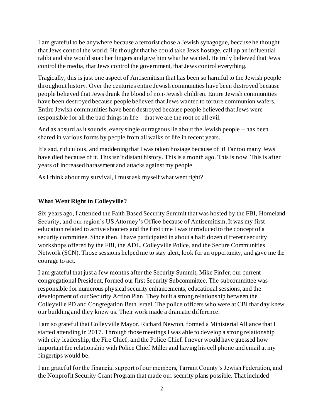I am grateful to be anywhere because a terrorist chose a Jewish synagogue, because he thought that Jews control the world. He thought that he could take Jews hostage, call up an influential rabbi and she would snap her fingers and give him what he wanted. He truly believed that Jews control the media, that Jews control the government, that Jews control everything.

Tragically, this is just one aspect of Antisemitism that has been so harmful to the Jewish people throughout history. Over the centuries entire Jewish communities have been destroyed because people believed that Jews drank the blood of non-Jewish children. Entire Jewish communities have been destroyed because people believed that Jews wanted to torture communion wafers. Entire Jewish communities have been destroyed because people believed that Jews were responsible for all the bad things in life – that we are the root of all evil.

And as absurd as it sounds, every single outrageous lie about the Jewish people – has been shared in various forms by people from all walks of life in recent years.

It's sad, ridiculous, and maddening that I was taken hostage because of it! Far too many Jews have died because of it. This isn't distant history. This is a month ago. This is now. This is after years of increased harassment and attacks against my people.

As I think about my survival, I must ask myself what went right?

## **What Went Right in Colleyville?**

Six years ago, I attended the Faith Based Security Summit that was hosted by the FBI, Homeland Security, and our region's US Attorney's Office because of Antisemitism. It was my first education related to active shooters and the first time I was introduced to the concept of a security committee. Since then, I have participated in about a half dozen different security workshops offered by the FBI, the ADL, Colleyville Police, and the Secure Communities Network (SCN). Those sessions helped me to stay alert, look for an opportunity, and gave me the courage to act.

I am grateful that just a few months after the Security Summit, Mike Finfer, our current congregational President, formed our first Security Subcommittee. The subcommittee was responsible for numerous physical security enhancements, educational sessions, and the development of our Security Action Plan. They built a strong relationship between the Colleyville PD and Congregation Beth Israel. The police officers who were at CBI that day knew our building and they knew us. Their work made a dramatic difference.

I am so grateful that Colleyville Mayor, Richard Newton, formed a Ministerial Alliance that I started attending in 2017. Through those meetings I was able to develop a strong relationship with city leadership, the Fire Chief, and the Police Chief. I never would have guessed how important the relationship with Police Chief Miller and having his cell phone and email at my fingertips would be.

I am grateful for the financial support of our members, Tarrant County's Jewish Federation, and the Nonprofit Security Grant Program that made our security plans possible. That included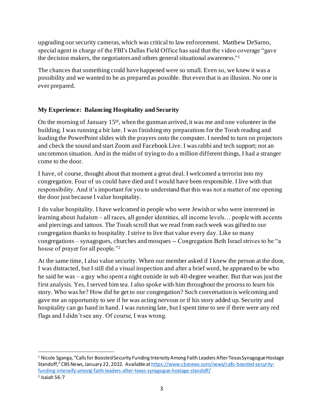upgrading our security cameras, which was critical to law enforcement. Matthew DeSarno, special agent in charge of the FBI's Dallas Field Office has said that the video coverage "gave the decision makers, the negotiators and others general situational awareness."<sup>1</sup>

The chances that something could have happened were so small. Even so, we knew it was a possibility and we wanted to be as prepared as possible. But even that is an illusion. No one is ever prepared.

## **My Experience: Balancing Hospitality and Security**

On the morning of January  $15<sup>th</sup>$ , when the gunman arrived, it was me and one volunteer in the building. I was running a bit late. I was finishing my preparations for the Torah reading and loading the PowerPoint slides with the prayers onto the computer. I needed to turn on projectors and check the sound and start Zoom and Facebook Live. I was rabbi and tech support; not an uncommon situation. And in the midst of trying to do a million different things, I had a stranger come to the door.

I have, of course, thought about that moment a great deal. I welcomed a terrorist into my congregation. Four of us could have died and I would have been responsible. I live with that responsibility. And it's important for you to understand that this was not a matter of me opening the door just because I value hospitality.

I do value hospitality. I have welcomed in people who were Jewish or who were interested in learning about Judaism – all races, all gender identities, all income levels… people with accents and piercings and tattoos. The Torah scroll that we read from each week was gifted to our congregation thanks to hospitality. I strive to live that value every day. Like so many congregations – synagogues, churches and mosques -- Congregation Beth Israel strives to be "a house of prayer for all people."<sup>2</sup>

At the same time, I also value security. When our member asked if I knew the person at the door, I was distracted, but I still did a visual inspection and after a brief word, he appeared to be who he said he was – a guy who spent a night outside in sub 40-degree weather. But that was just the first analysis. Yes, I served him tea. I also spoke with him throughout the process to learn his story. Who was he? How did he get to our congregation? Such conversation is welcoming and gave me an opportunity to see if he was acting nervous or if his story added up. Security and hospitality can go hand in hand. I was running late, but I spent time to see if there were any red flags and I didn't see any. Of course, I was wrong.

<sup>&</sup>lt;sup>1</sup> Nicole Sganga, "Calls for Boosted Security Funding Intensity Among Faith Leaders After Texas Synagogue Hostage Standoff," CBS News, January 22, 2022. Available at [https://www.cbsnews.com/news/calls-boosted-security](about:blank)[funding-intensify-among-faith-leaders-after-texas-synagogue-hostage-standoff/](about:blank)

<sup>2</sup> Isaiah 56:7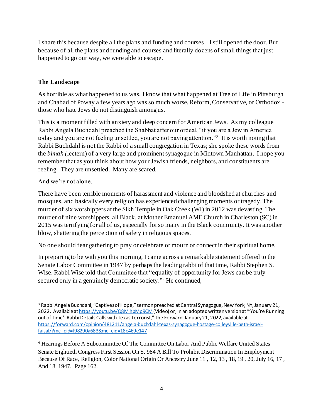I share this because despite all the plans and funding and courses – I still opened the door. But because of all the plans and funding and courses and literally dozens of small things that just happened to go our way, we were able to escape.

### **The Landscape**

As horrible as what happened to us was, I know that what happened at Tree of Life in Pittsburgh and Chabad of Poway a few years ago was so much worse. Reform, Conservative, or Orthodox those who hate Jews do not distinguish among us.

This is a moment filled with anxiety and deep concern for American Jews. As my colleague Rabbi Angela Buchdahl preached the Shabbat after our ordeal, "if you are a Jew in America today and you are not feeling unsettled, you are not paying attention."<sup>3</sup> It is worth noting that Rabbi Buchdahl is not the Rabbi of a small congregation in Texas; she spoke these words from the *bimah (*lectern) of a very large and prominent synagogue in Midtown Manhattan. I hope you remember that as you think about how your Jewish friends, neighbors, and constituents are feeling. They are unsettled. Many are scared.

And we're not alone.

There have been terrible moments of harassment and violence and bloodshed at churches and mosques, and basically every religion has experienced challenging moments or tragedy. The murder of six worshippers at the Sikh Temple in Oak Creek (WI) in 2012 was devasting. The murder of nine worshippers, all Black, at Mother Emanuel AME Church in Charleston (SC) in 2015 was terrifying for all of us, especially for so many in the Black community. It was another blow, shattering the perception of safety in religious spaces.

No one should fear gathering to pray or celebrate or mourn or connect in their spiritual home.

In preparing to be with you this morning, I came across a remarkable statement offered to the Senate Labor Committee in 1947 by perhaps the leading rabbi of that time, Rabbi Stephen S. Wise. Rabbi Wise told that Committee that "equality of opportunity for Jews can be truly secured only in a genuinely democratic society."<sup>4</sup> He continued,

<sup>&</sup>lt;sup>3</sup> Rabbi Angela Buchdahl, "Captives of Hope," sermon preached at Central Synagogue, New York, NY, January 21, 2022. Available a[t https://youtu.be/Q8MlhbMp9CM](about:blank)(Video) or, in an adopted written version at "'You're Running out of Time': Rabbi Details Calls with Texas Terrorist," The Forward, January 21, 2022, available at [https://forward.com/opinion/481211/angela-buchdahl-texas-synagogue-hostage-colleyville-beth-israel](about:blank)[faisal/?mc\\_cid=f98290a683&mc\\_eid=18e469e147](about:blank)

<sup>4</sup> Hearings Before A Subcommittee Of The Committee On Labor And Public Welfare United States Senate Eightieth Congress First Session On S. 984 A Bill To Prohibit Discrimination In Employment Because Of Race, Religion, Color National Origin Or Ancestry June 11 , 12, 13 , 18, 19 , 20, July 16, 17 , And 18, 1947. Page 162.